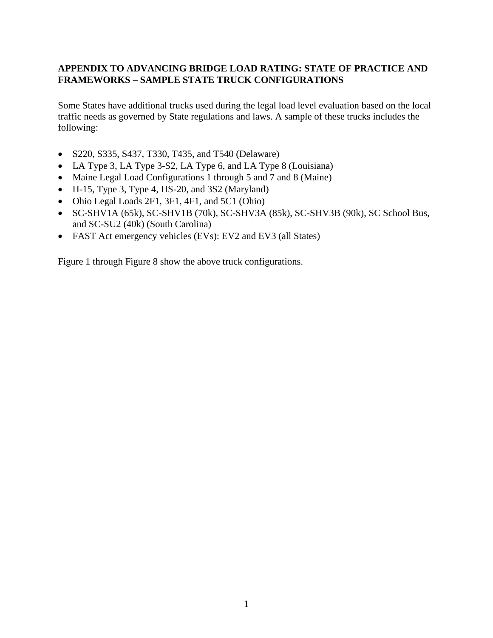## **APPENDIX TO ADVANCING BRIDGE LOAD RATING: STATE OF PRACTICE AND FRAMEWORKS – SAMPLE STATE TRUCK CONFIGURATIONS**

Some States have additional trucks used during the legal load level evaluation based on the local traffic needs as governed by State regulations and laws. A sample of these trucks includes the following:

- S220, S335, S437, T330, T435, and T540 (Delaware)
- LA Type 3, LA Type 3-S2, LA Type 6, and LA Type 8 (Louisiana)
- Maine Legal Load Configurations 1 through 5 and 7 and 8 (Maine)
- H-15, Type 3, Type 4, HS-20, and 3S2 (Maryland)
- Ohio Legal Loads 2F1, 3F1, 4F1, and 5C1 (Ohio)
- SC-SHV1A (65k), SC-SHV1B (70k), SC-SHV3A (85k), SC-SHV3B (90k), SC School Bus, and SC-SU2 (40k) (South Carolina)
- FAST Act emergency vehicles (EVs): EV2 and EV3 (all States)

[Figure 1](#page-1-0) through [Figure 8](#page-8-0) show the above truck configurations.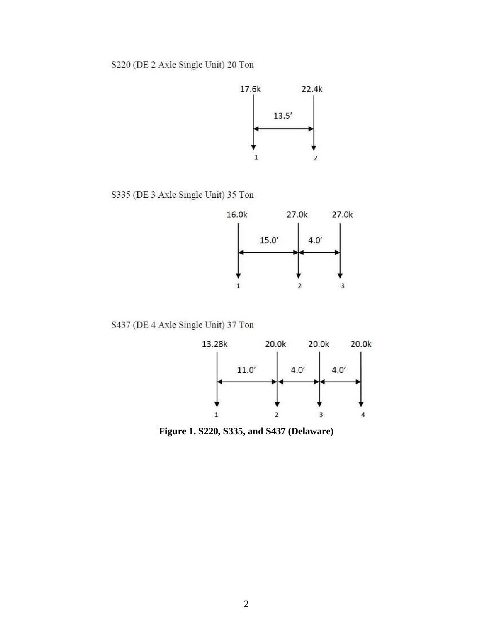

S335 (DE 3 Axle Single Unit) 35 Ton



S437 (DE 4 Axle Single Unit) 37 Ton



<span id="page-1-0"></span>Figure 1. S220, S335, and S437 (Delaware)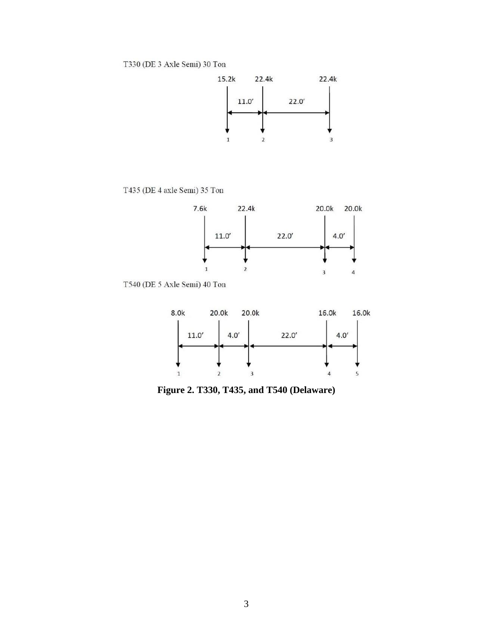

T435 (DE 4 axle Semi) 35 Ton



T540 (DE 5 Axle Semi) 40 Ton



**Figure 2. T330, T435, and T540 (Delaware)**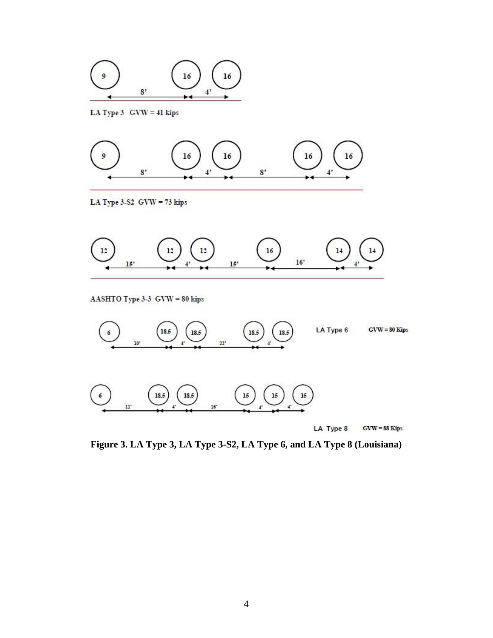

LA Type  $3$  GVW = 41 kips



LA Type 3-S2  $GVW = 73$  kips

 $11^\circ$ 



LA Type 8  $GVW = 88$  Kips

**Figure 3. LA Type 3, LA Type 3-S2, LA Type 6, and LA Type 8 (Louisiana)**

 $16^{\circ}$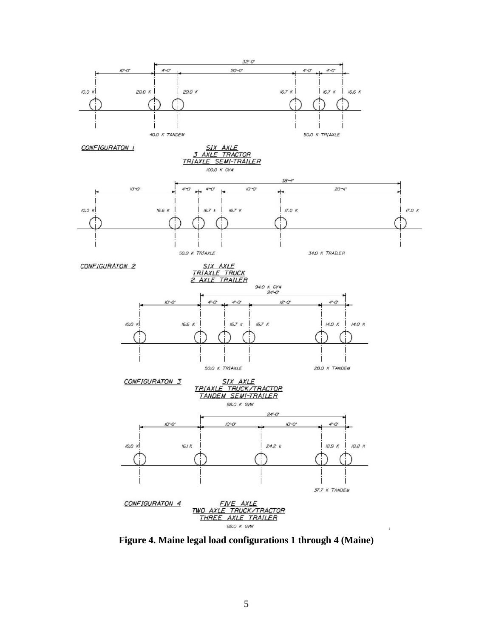

**Figure 4. Maine legal load configurations 1 through 4 (Maine)**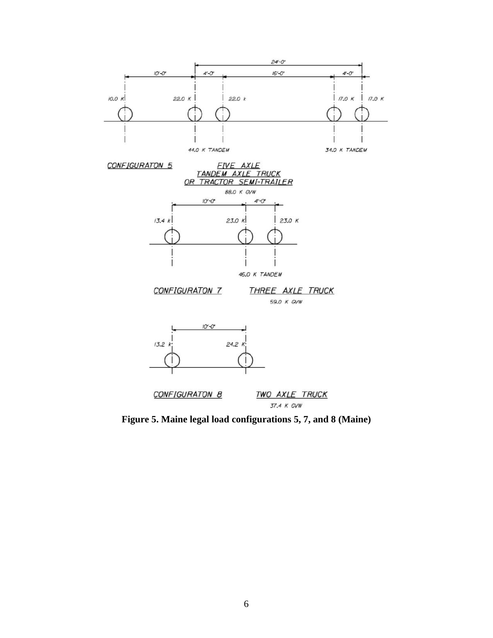

**Figure 5. Maine legal load configurations 5, 7, and 8 (Maine)**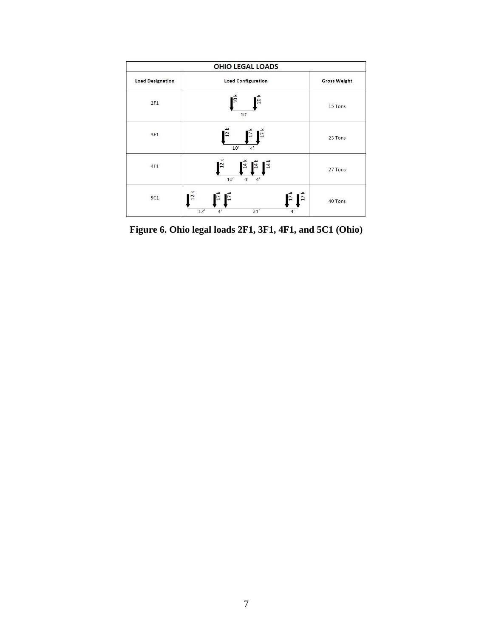|                         | <b>OHIO LEGAL LOADS</b>                                                                                 |                     |  |  |  |
|-------------------------|---------------------------------------------------------------------------------------------------------|---------------------|--|--|--|
| <b>Load Designation</b> | <b>Load Configuration</b>                                                                               | <b>Gross Weight</b> |  |  |  |
| 2F1                     | $\overline{10}$ $\times$<br>$\sqrt{20}$<br>10'                                                          | 15 Tons             |  |  |  |
| 3F1                     | $\mathbf{E}$<br>$\overline{12}$<br>10'<br>4'                                                            | 23 Tons             |  |  |  |
| 4F1                     | $\overline{12}$ k<br>$\overline{14}$ k<br>$\overline{14}$ k<br>$\mathbf{I}^{\sharp}$<br>4'<br>10'<br>4' | 27 Tons             |  |  |  |
| <b>5C1</b>              | 12k<br>$\frac{17}{k}$<br>$\overline{17}$ k<br>12'<br>31'<br>4'<br>4'                                    | 40 Tons             |  |  |  |

**Figure 6. Ohio legal loads 2F1, 3F1, 4F1, and 5C1 (Ohio)**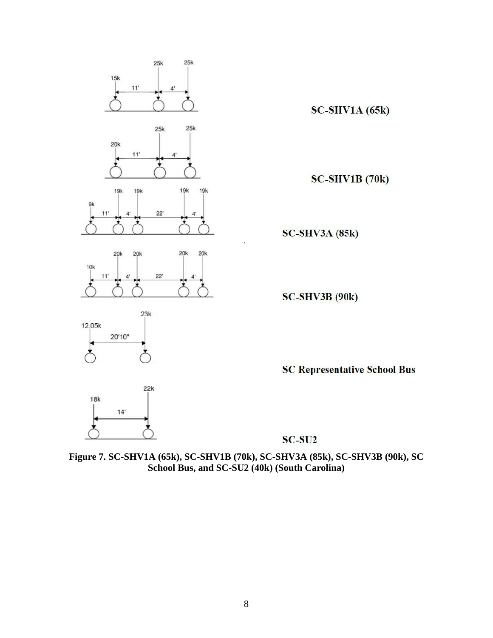

SC-SU<sub>2</sub>

**Figure 7. SC-SHV1A (65k), SC-SHV1B (70k), SC-SHV3A (85k), SC-SHV3B (90k), SC School Bus, and SC-SU2 (40k) (South Carolina)**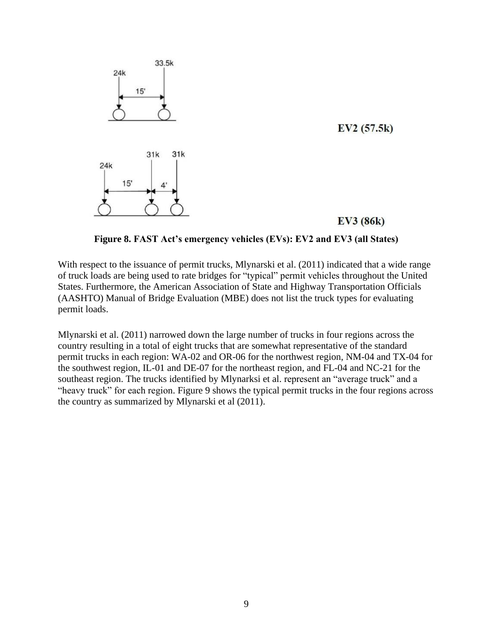

**Figure 8. FAST Act's emergency vehicles (EVs): EV2 and EV3 (all States)**

<span id="page-8-0"></span>With respect to the issuance of permit trucks, Mlynarski et al. (2011) indicated that a wide range of truck loads are being used to rate bridges for "typical" permit vehicles throughout the United States. Furthermore, the American Association of State and Highway Transportation Officials (AASHTO) Manual of Bridge Evaluation (MBE) does not list the truck types for evaluating permit loads.

Mlynarski et al. (2011) narrowed down the large number of trucks in four regions across the country resulting in a total of eight trucks that are somewhat representative of the standard permit trucks in each region: WA-02 and OR-06 for the northwest region, NM-04 and TX-04 for the southwest region, IL-01 and DE-07 for the northeast region, and FL-04 and NC-21 for the southeast region. The trucks identified by Mlynarksi et al. represent an "average truck" and a "heavy truck" for each region. [Figure 9](#page-9-0) shows the typical permit trucks in the four regions across the country as summarized by Mlynarski et al (2011).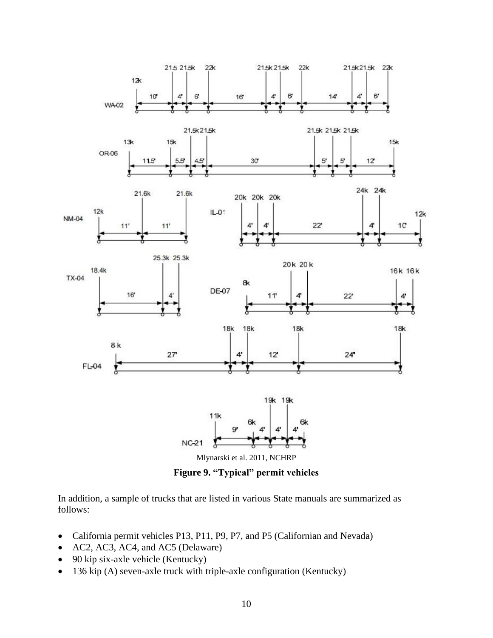

**Figure 9. "Typical" permit vehicles**

<span id="page-9-0"></span>In addition, a sample of trucks that are listed in various State manuals are summarized as follows:

- California permit vehicles P13, P11, P9, P7, and P5 (Californian and Nevada)
- AC2, AC3, AC4, and AC5 (Delaware)
- 90 kip six-axle vehicle (Kentucky)
- 136 kip (A) seven-axle truck with triple-axle configuration (Kentucky)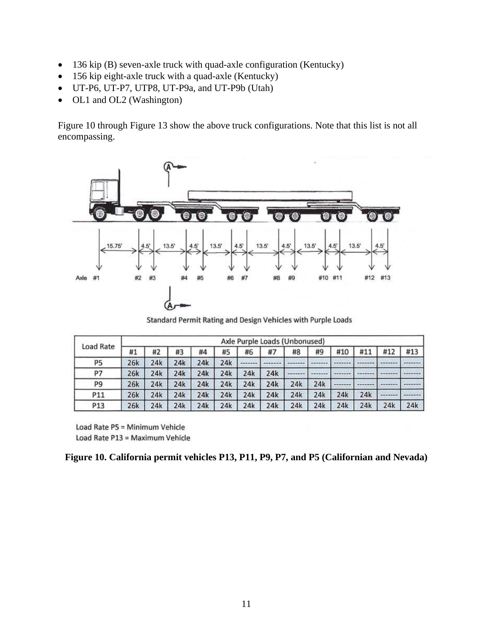- 136 kip (B) seven-axle truck with quad-axle configuration (Kentucky)
- 156 kip eight-axle truck with a quad-axle (Kentucky)
- UT-P6, UT-P7, UTP8, UT-P9a, and UT-P9b (Utah)
- OL1 and OL2 (Washington)

[Figure 10](#page-10-0) through [Figure 13](#page-13-0) show the above truck configurations. Note that this list is not all encompassing.



Standard Permit Rating and Design Vehicles with Purple Loads

| Load Rate      | Axle Purple Loads (Unbonused) |     |     |     |     |     |     |          |     |     |     |         |     |
|----------------|-------------------------------|-----|-----|-----|-----|-----|-----|----------|-----|-----|-----|---------|-----|
|                | #1                            | #2  | #3  | #4  | #5  | #6  | #7  | #8       | #9  | #10 | #11 | #12     | #13 |
| P5             | 26k                           | 24k | 24k | 24k | 24k |     |     |          |     |     |     |         |     |
| P7             | 26k                           | 24k | 24k | 24k | 24k | 24k | 24k | -------- |     |     |     |         |     |
| P <sub>9</sub> | 26k                           | 24k | 24k | 24k | 24k | 24k | 24k | 24k      | 24k |     |     | ------- |     |
| P11            | 26k                           | 24k | 24k | 24k | 24k | 24k | 24k | 24k      | 24k | 24k | 24k |         |     |
| P13            | 26k                           | 24k | 24k | 24k | 24k | 24k | 24k | 24k      | 24k | 24k | 24k | 24k     | 24k |

Load Rate P5 = Minimum Vehicle Load Rate P13 = Maximum Vehicle

<span id="page-10-0"></span>

|  | Figure 10. California permit vehicles P13, P11, P9, P7, and P5 (Californian and Nevada) |  |  |  |  |  |  |
|--|-----------------------------------------------------------------------------------------|--|--|--|--|--|--|
|  |                                                                                         |  |  |  |  |  |  |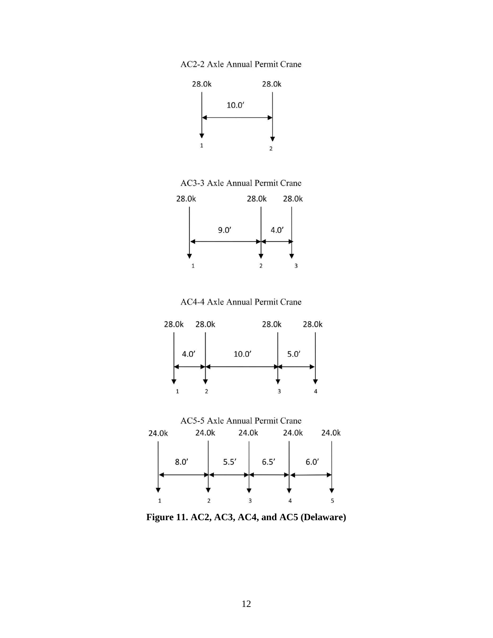



AC3-3 Axle Annual Permit Crane



AC4-4 Axle Annual Permit Crane



Figure 11. AC2, AC3, AC4, and AC5 (Delaware)

 $\overline{3}$ 

Δ

5

 $\overline{2}$ 

 $\overline{1}$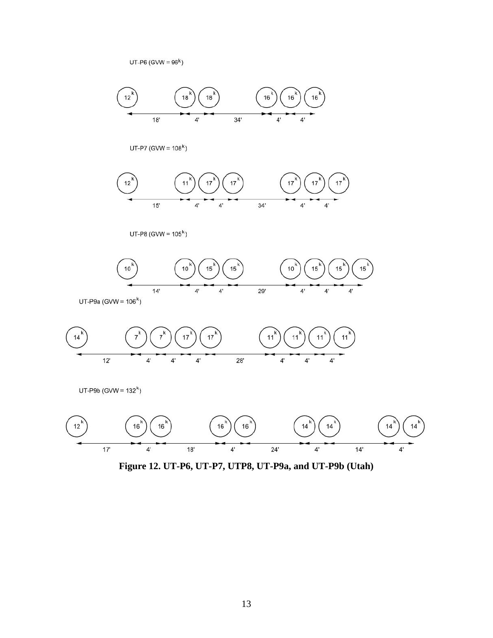

$$
\begin{array}{|c|c|c|c|}\hline \phantom{10} & \phantom{10} & \phantom{10} & \phantom{10} & \phantom{10} & \phantom{10} & \phantom{10} & \phantom{10} & \phantom{10} & \phantom{10} & \phantom{10} & \phantom{10} & \phantom{10} & \phantom{10} & \phantom{10} & \phantom{10} & \phantom{10} & \phantom{10} & \phantom{10} & \phantom{10} & \phantom{10} & \phantom{10} & \phantom{10} & \phantom{10} & \phantom{10} & \phantom{10} & \phantom{10} & \phantom{10} & \phantom{10} & \phantom{10} & \phantom{10} & \phantom{10} & \phantom{10} & \phantom{10} & \phantom{10} & \phantom{10} & \phantom{10} & \phantom{10} & \phantom{10} & \phantom{10} & \phantom{10} & \phantom{10} & \phantom{10} & \phantom{10} & \phantom{10} & \phantom{10} & \phantom{10} & \phantom{10} & \phantom{10} & \phantom{10} & \phantom{10} & \phantom{10} & \phantom{10} & \phantom{10} & \phantom{10} & \phantom{10} & \phantom{10} & \phantom{10} & \phantom{10} & \phantom{10} & \phantom{10} & \phantom{10} & \phantom{10} & \phantom{10} & \phantom{10} & \phantom{10} & \phantom{10} & \phantom{10} & \phantom{10} & \phantom{10} & \phantom{10} & \phantom{10} & \phantom{10} & \phantom{10} & \phantom{10} & \phantom{10} & \phantom{10} & \phantom{10} & \phantom{10} & \phantom{10} & \phantom{10} & \phantom{10} & \phantom{10} & \phantom{10} & \phantom{10} & \phantom{10} & \phantom{10} & \phantom{10} & \phantom{10} & \phantom{10} & \phantom{10} & \phantom{10} & \phantom{10}
$$

UT-P8 (GVW =  $105<sup>k</sup>$ )



 $UT-PI (GVW = 108<sup>k</sup>)$ 



 $UT-P6$  (GVW =  $96<sup>k</sup>$ )

Figure 12. UT-P6, UT-P7, UTP8, UT-P9a, and UT-P9b (Utah)